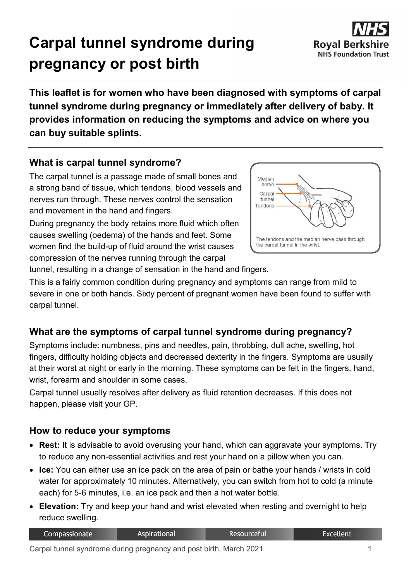# **Carpal tunnel syndrome during pregnancy or post birth**



**This leaflet is for women who have been diagnosed with symptoms of carpal tunnel syndrome during pregnancy or immediately after delivery of baby. It provides information on reducing the symptoms and advice on where you can buy suitable splints.**

# **What is carpal tunnel syndrome?**

The carpal tunnel is a passage made of small bones and a strong band of tissue, which tendons, blood vessels and nerves run through. These nerves control the sensation and movement in the hand and fingers.

During pregnancy the body retains more fluid which often causes swelling (oedema) of the hands and feet. Some women find the build-up of fluid around the wrist causes compression of the nerves running through the carpal



tunnel, resulting in a change of sensation in the hand and fingers.

This is a fairly common condition during pregnancy and symptoms can range from mild to severe in one or both hands. Sixty percent of pregnant women have been found to suffer with carpal tunnel.

# **What are the symptoms of carpal tunnel syndrome during pregnancy?**

Symptoms include: numbness, pins and needles, pain, throbbing, dull ache, swelling, hot fingers, difficulty holding objects and decreased dexterity in the fingers. Symptoms are usually at their worst at night or early in the morning. These symptoms can be felt in the fingers, hand, wrist, forearm and shoulder in some cases.

Carpal tunnel usually resolves after delivery as fluid retention decreases. If this does not happen, please visit your GP.

## **How to reduce your symptoms**

- **Rest:** It is advisable to avoid overusing your hand, which can aggravate your symptoms. Try to reduce any non-essential activities and rest your hand on a pillow when you can.
- **Ice:** You can either use an ice pack on the area of pain or bathe your hands / wrists in cold water for approximately 10 minutes. Alternatively, you can switch from hot to cold (a minute each) for 5-6 minutes, i.e. an ice pack and then a hot water bottle.
- **Elevation:** Try and keep your hand and wrist elevated when resting and overnight to help reduce swelling.

| Compassionate | Aspirational | Resourceful' | Excellent |
|---------------|--------------|--------------|-----------|
|               |              |              |           |

Carpal tunnel syndrome during pregnancy and post birth, March 2021 1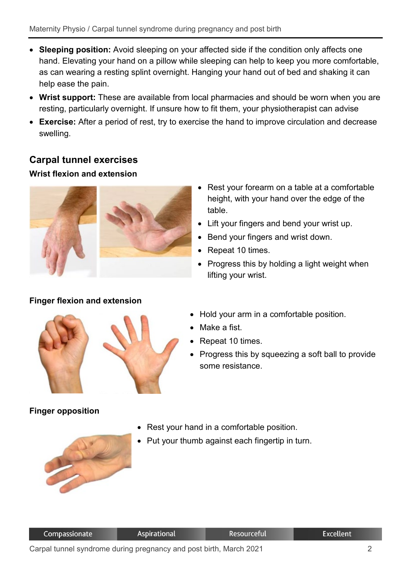- **Sleeping position:** Avoid sleeping on your affected side if the condition only affects one hand. Elevating your hand on a pillow while sleeping can help to keep you more comfortable, as can wearing a resting splint overnight. Hanging your hand out of bed and shaking it can help ease the pain.
- **Wrist support:** These are available from local pharmacies and should be worn when you are resting, particularly overnight. If unsure how to fit them, your physiotherapist can advise
- **Exercise:** After a period of rest, try to exercise the hand to improve circulation and decrease swelling.

## **Carpal tunnel exercises**

#### **Wrist flexion and extension**



#### **Finger flexion and extension**

- 
- Hold your arm in a comfortable position.
- Make a fist.

table.

• Repeat 10 times.

lifting your wrist.

- Repeat 10 times.
- Progress this by squeezing a soft ball to provide some resistance.

• Rest your forearm on a table at a comfortable height, with your hand over the edge of the

• Lift your fingers and bend your wrist up.

• Progress this by holding a light weight when

• Bend your fingers and wrist down.

## **Finger opposition**

- Rest your hand in a comfortable position.
- Put your thumb against each fingertip in turn.



Resourceful